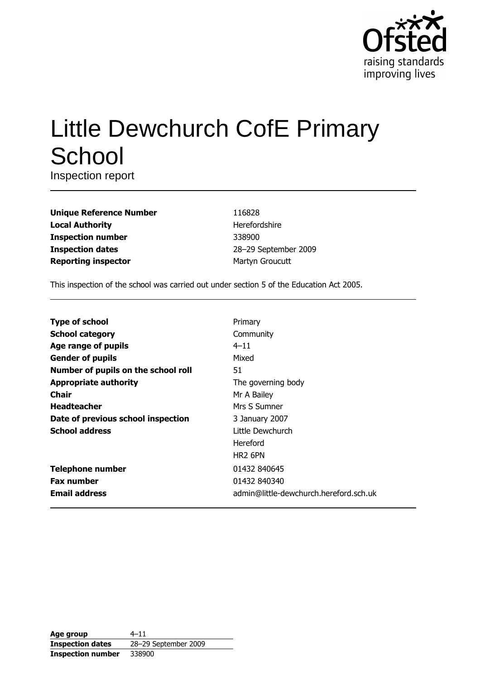

# **Little Dewchurch CofE Primary** School

Inspection report

| <b>Unique Reference Number</b> |
|--------------------------------|
| <b>Local Authority</b>         |
| <b>Inspection number</b>       |
| <b>Inspection dates</b>        |
| <b>Reporting inspector</b>     |

116828 Herefordshire 338900 28-29 September 2009 Martyn Groucutt

This inspection of the school was carried out under section 5 of the Education Act 2005.

| <b>Type of school</b>               | Primary                                |
|-------------------------------------|----------------------------------------|
| <b>School category</b>              | Community                              |
| Age range of pupils                 | $4 - 11$                               |
| <b>Gender of pupils</b>             | Mixed                                  |
| Number of pupils on the school roll | 51                                     |
| <b>Appropriate authority</b>        | The governing body                     |
| <b>Chair</b>                        | Mr A Bailey                            |
| <b>Headteacher</b>                  | Mrs S Sumner                           |
| Date of previous school inspection  | 3 January 2007                         |
| <b>School address</b>               | Little Dewchurch                       |
|                                     | Hereford                               |
|                                     | HR <sub>2</sub> 6PN                    |
| <b>Telephone number</b>             | 01432 840645                           |
| <b>Fax number</b>                   | 01432 840340                           |
| <b>Email address</b>                | admin@little-dewchurch.hereford.sch.uk |

| Age group                | $4 - 11$             |
|--------------------------|----------------------|
| <b>Inspection dates</b>  | 28-29 September 2009 |
| <b>Inspection number</b> | 338900               |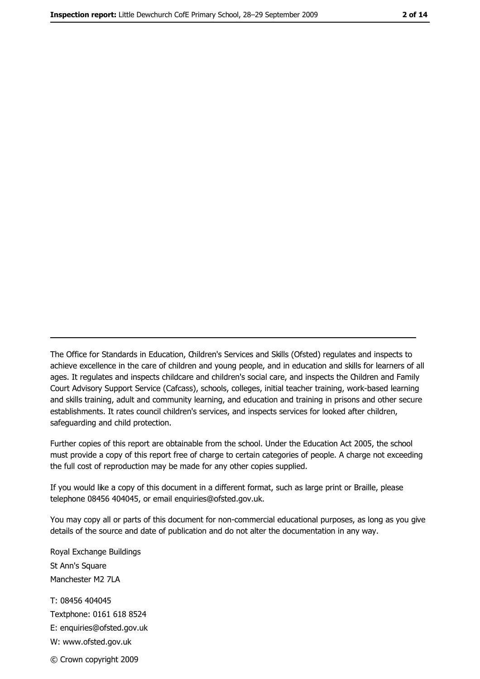The Office for Standards in Education, Children's Services and Skills (Ofsted) regulates and inspects to achieve excellence in the care of children and young people, and in education and skills for learners of all ages. It regulates and inspects childcare and children's social care, and inspects the Children and Family Court Advisory Support Service (Cafcass), schools, colleges, initial teacher training, work-based learning and skills training, adult and community learning, and education and training in prisons and other secure establishments. It rates council children's services, and inspects services for looked after children, safequarding and child protection.

Further copies of this report are obtainable from the school. Under the Education Act 2005, the school must provide a copy of this report free of charge to certain categories of people. A charge not exceeding the full cost of reproduction may be made for any other copies supplied.

If you would like a copy of this document in a different format, such as large print or Braille, please telephone 08456 404045, or email enquiries@ofsted.gov.uk.

You may copy all or parts of this document for non-commercial educational purposes, as long as you give details of the source and date of publication and do not alter the documentation in any way.

Royal Exchange Buildings St Ann's Square Manchester M2 7LA T: 08456 404045 Textphone: 0161 618 8524 E: enquiries@ofsted.gov.uk W: www.ofsted.gov.uk © Crown copyright 2009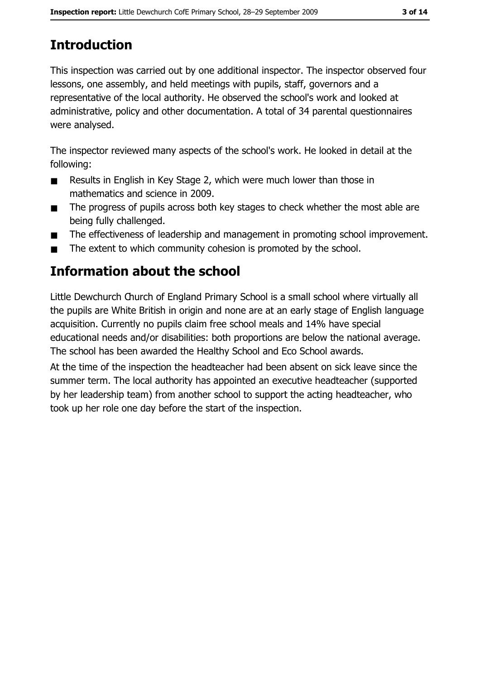# **Introduction**

This inspection was carried out by one additional inspector. The inspector observed four lessons, one assembly, and held meetings with pupils, staff, governors and a representative of the local authority. He observed the school's work and looked at administrative, policy and other documentation. A total of 34 parental questionnaires were analysed.

The inspector reviewed many aspects of the school's work. He looked in detail at the following:

- $\blacksquare$ Results in English in Key Stage 2, which were much lower than those in mathematics and science in 2009.
- The progress of pupils across both key stages to check whether the most able are  $\blacksquare$ being fully challenged.
- The effectiveness of leadership and management in promoting school improvement.  $\blacksquare$
- The extent to which community cohesion is promoted by the school.  $\blacksquare$

# Information about the school

Little Dewchurch Church of England Primary School is a small school where virtually all the pupils are White British in origin and none are at an early stage of English language acquisition. Currently no pupils claim free school meals and 14% have special educational needs and/or disabilities: both proportions are below the national average. The school has been awarded the Healthy School and Eco School awards.

At the time of the inspection the headteacher had been absent on sick leave since the summer term. The local authority has appointed an executive headteacher (supported by her leadership team) from another school to support the acting headteacher, who took up her role one day before the start of the inspection.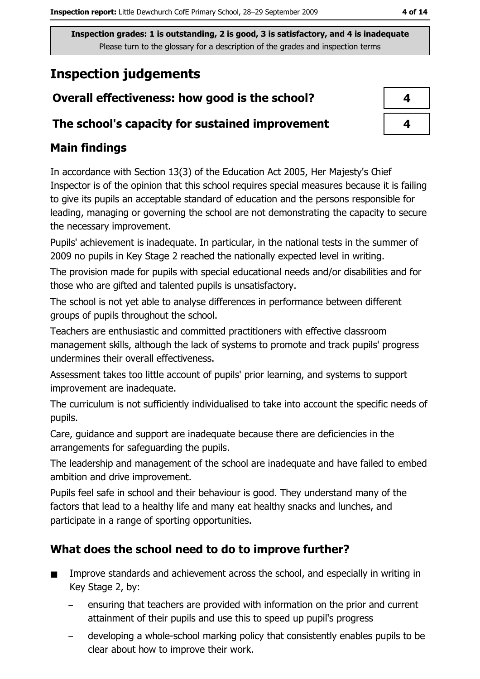# **Inspection judgements**

# Overall effectiveness: how good is the school?

## The school's capacity for sustained improvement

# **Main findings**

In accordance with Section 13(3) of the Education Act 2005, Her Majesty's Chief Inspector is of the opinion that this school requires special measures because it is failing to give its pupils an acceptable standard of education and the persons responsible for leading, managing or governing the school are not demonstrating the capacity to secure the necessary improvement.

Pupils' achievement is inadequate. In particular, in the national tests in the summer of 2009 no pupils in Key Stage 2 reached the nationally expected level in writing.

The provision made for pupils with special educational needs and/or disabilities and for those who are gifted and talented pupils is unsatisfactory.

The school is not yet able to analyse differences in performance between different groups of pupils throughout the school.

Teachers are enthusiastic and committed practitioners with effective classroom management skills, although the lack of systems to promote and track pupils' progress undermines their overall effectiveness.

Assessment takes too little account of pupils' prior learning, and systems to support improvement are inadequate.

The curriculum is not sufficiently individualised to take into account the specific needs of pupils.

Care, guidance and support are inadequate because there are deficiencies in the arrangements for safeguarding the pupils.

The leadership and management of the school are inadequate and have failed to embed ambition and drive improvement.

Pupils feel safe in school and their behaviour is good. They understand many of the factors that lead to a healthy life and many eat healthy snacks and lunches, and participate in a range of sporting opportunities.

# What does the school need to do to improve further?

- Improve standards and achievement across the school, and especially in writing in Key Stage 2, by:
	- ensuring that teachers are provided with information on the prior and current attainment of their pupils and use this to speed up pupil's progress
	- developing a whole-school marking policy that consistently enables pupils to be clear about how to improve their work.

| 4 |  |
|---|--|
| 4 |  |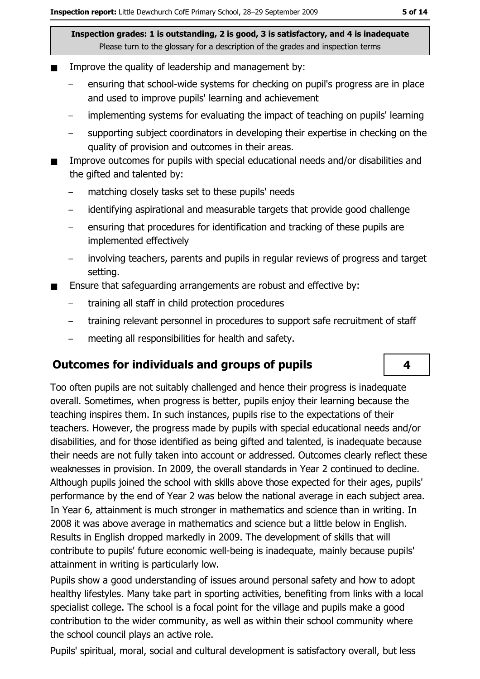- $\blacksquare$ Improve the quality of leadership and management by:
	- ensuring that school-wide systems for checking on pupil's progress are in place and used to improve pupils' learning and achievement
	- implementing systems for evaluating the impact of teaching on pupils' learning  $\equiv$
	- supporting subject coordinators in developing their expertise in checking on the quality of provision and outcomes in their areas.
- Improve outcomes for pupils with special educational needs and/or disabilities and the gifted and talented by:
	- matching closely tasks set to these pupils' needs
	- identifying aspirational and measurable targets that provide good challenge
	- ensuring that procedures for identification and tracking of these pupils are implemented effectively
	- involving teachers, parents and pupils in regular reviews of progress and target setting.
- Ensure that safeguarding arrangements are robust and effective by:  $\blacksquare$ 
	- training all staff in child protection procedures  $\equiv$
	- training relevant personnel in procedures to support safe recruitment of staff  $\equiv$
	- meeting all responsibilities for health and safety.  $\overline{a}$

## **Outcomes for individuals and groups of pupils**

Too often pupils are not suitably challenged and hence their progress is inadequate overall. Sometimes, when progress is better, pupils enjoy their learning because the teaching inspires them. In such instances, pupils rise to the expectations of their teachers. However, the progress made by pupils with special educational needs and/or disabilities, and for those identified as being gifted and talented, is inadequate because their needs are not fully taken into account or addressed. Outcomes clearly reflect these weaknesses in provision. In 2009, the overall standards in Year 2 continued to decline. Although pupils joined the school with skills above those expected for their ages, pupils' performance by the end of Year 2 was below the national average in each subject area. In Year 6, attainment is much stronger in mathematics and science than in writing. In 2008 it was above average in mathematics and science but a little below in English. Results in English dropped markedly in 2009. The development of skills that will contribute to pupils' future economic well-being is inadequate, mainly because pupils' attainment in writing is particularly low.

Pupils show a good understanding of issues around personal safety and how to adopt healthy lifestyles. Many take part in sporting activities, benefiting from links with a local specialist college. The school is a focal point for the village and pupils make a good contribution to the wider community, as well as within their school community where the school council plays an active role.

Pupils' spiritual, moral, social and cultural development is satisfactory overall, but less

4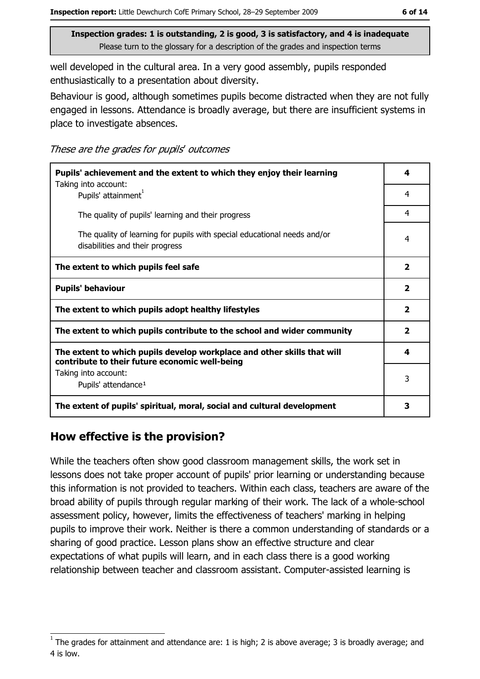well developed in the cultural area. In a very good assembly, pupils responded enthusiastically to a presentation about diversity.

Behaviour is good, although sometimes pupils become distracted when they are not fully engaged in lessons. Attendance is broadly average, but there are insufficient systems in place to investigate absences.

These are the grades for pupils' outcomes

| Pupils' achievement and the extent to which they enjoy their learning                                                     |                         |
|---------------------------------------------------------------------------------------------------------------------------|-------------------------|
| Taking into account:<br>Pupils' attainment <sup>1</sup>                                                                   | $\overline{4}$          |
| The quality of pupils' learning and their progress                                                                        | 4                       |
| The quality of learning for pupils with special educational needs and/or<br>disabilities and their progress               | 4                       |
| The extent to which pupils feel safe                                                                                      | $\overline{\mathbf{2}}$ |
| <b>Pupils' behaviour</b>                                                                                                  | $\overline{\mathbf{2}}$ |
| The extent to which pupils adopt healthy lifestyles                                                                       | $\overline{\mathbf{2}}$ |
| The extent to which pupils contribute to the school and wider community                                                   | $\overline{\mathbf{2}}$ |
| The extent to which pupils develop workplace and other skills that will<br>contribute to their future economic well-being | 4                       |
| Taking into account:<br>Pupils' attendance <sup>1</sup>                                                                   | 3                       |
| The extent of pupils' spiritual, moral, social and cultural development                                                   | 3                       |

## How effective is the provision?

While the teachers often show good classroom management skills, the work set in lessons does not take proper account of pupils' prior learning or understanding because this information is not provided to teachers. Within each class, teachers are aware of the broad ability of pupils through regular marking of their work. The lack of a whole-school assessment policy, however, limits the effectiveness of teachers' marking in helping pupils to improve their work. Neither is there a common understanding of standards or a sharing of good practice. Lesson plans show an effective structure and clear expectations of what pupils will learn, and in each class there is a good working relationship between teacher and classroom assistant. Computer-assisted learning is

The grades for attainment and attendance are: 1 is high; 2 is above average; 3 is broadly average; and 4 is low.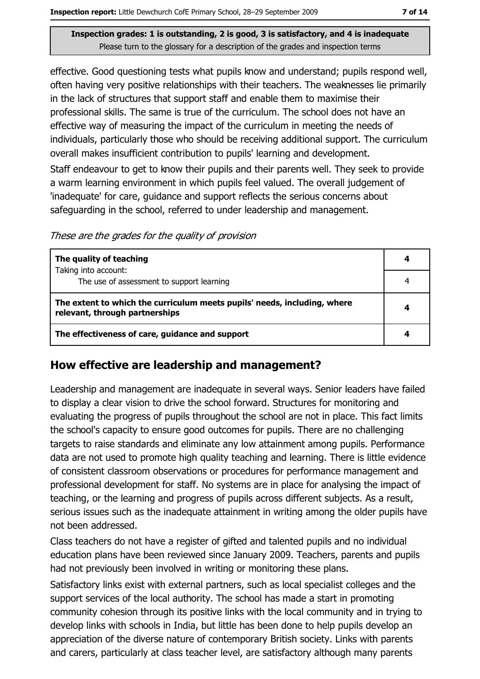effective. Good questioning tests what pupils know and understand; pupils respond well, often having very positive relationships with their teachers. The weaknesses lie primarily in the lack of structures that support staff and enable them to maximise their professional skills. The same is true of the curriculum. The school does not have an effective way of measuring the impact of the curriculum in meeting the needs of individuals, particularly those who should be receiving additional support. The curriculum overall makes insufficient contribution to pupils' learning and development.

Staff endeavour to get to know their pupils and their parents well. They seek to provide a warm learning environment in which pupils feel valued. The overall judgement of 'inadequate' for care, quidance and support reflects the serious concerns about safeguarding in the school, referred to under leadership and management.

These are the grades for the quality of provision

| The quality of teaching                                                                                    |   |
|------------------------------------------------------------------------------------------------------------|---|
| Taking into account:<br>The use of assessment to support learning                                          |   |
| The extent to which the curriculum meets pupils' needs, including, where<br>relevant, through partnerships | 4 |
| The effectiveness of care, guidance and support                                                            |   |

## How effective are leadership and management?

Leadership and management are inadequate in several ways. Senior leaders have failed to display a clear vision to drive the school forward. Structures for monitoring and evaluating the progress of pupils throughout the school are not in place. This fact limits the school's capacity to ensure good outcomes for pupils. There are no challenging targets to raise standards and eliminate any low attainment among pupils. Performance data are not used to promote high quality teaching and learning. There is little evidence of consistent classroom observations or procedures for performance management and professional development for staff. No systems are in place for analysing the impact of teaching, or the learning and progress of pupils across different subjects. As a result, serious issues such as the inadequate attainment in writing among the older pupils have not been addressed.

Class teachers do not have a register of gifted and talented pupils and no individual education plans have been reviewed since January 2009. Teachers, parents and pupils had not previously been involved in writing or monitoring these plans.

Satisfactory links exist with external partners, such as local specialist colleges and the support services of the local authority. The school has made a start in promoting community cohesion through its positive links with the local community and in trying to develop links with schools in India, but little has been done to help pupils develop an appreciation of the diverse nature of contemporary British society. Links with parents and carers, particularly at class teacher level, are satisfactory although many parents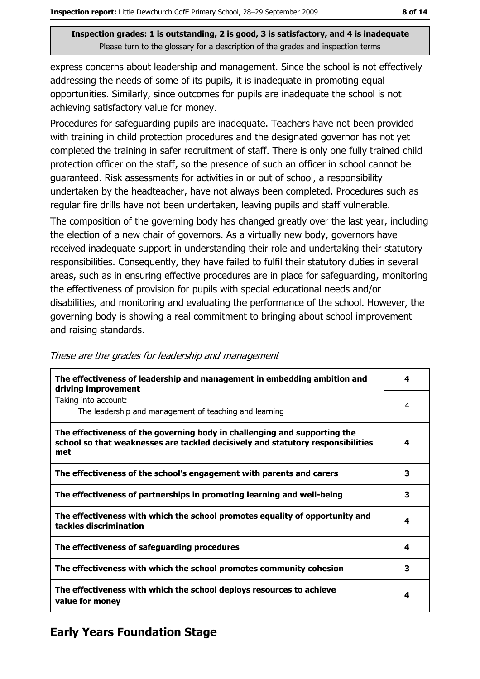express concerns about leadership and management. Since the school is not effectively addressing the needs of some of its pupils, it is inadequate in promoting equal opportunities. Similarly, since outcomes for pupils are inadequate the school is not achieving satisfactory value for money.

Procedures for safeguarding pupils are inadequate. Teachers have not been provided with training in child protection procedures and the designated governor has not vet completed the training in safer recruitment of staff. There is only one fully trained child protection officer on the staff, so the presence of such an officer in school cannot be guaranteed. Risk assessments for activities in or out of school, a responsibility undertaken by the headteacher, have not always been completed. Procedures such as regular fire drills have not been undertaken, leaving pupils and staff vulnerable.

The composition of the governing body has changed greatly over the last year, including the election of a new chair of governors. As a virtually new body, governors have received inadequate support in understanding their role and undertaking their statutory responsibilities. Consequently, they have failed to fulfil their statutory duties in several areas, such as in ensuring effective procedures are in place for safeguarding, monitoring the effectiveness of provision for pupils with special educational needs and/or disabilities, and monitoring and evaluating the performance of the school. However, the governing body is showing a real commitment to bringing about school improvement and raising standards.

| The effectiveness of leadership and management in embedding ambition and<br>driving improvement                                                                     | 4 |
|---------------------------------------------------------------------------------------------------------------------------------------------------------------------|---|
| Taking into account:<br>The leadership and management of teaching and learning                                                                                      | 4 |
| The effectiveness of the governing body in challenging and supporting the<br>school so that weaknesses are tackled decisively and statutory responsibilities<br>met | 4 |
| The effectiveness of the school's engagement with parents and carers                                                                                                | 3 |
| The effectiveness of partnerships in promoting learning and well-being                                                                                              | 3 |
| The effectiveness with which the school promotes equality of opportunity and<br>tackles discrimination                                                              | 4 |
| The effectiveness of safeguarding procedures                                                                                                                        | 4 |
| The effectiveness with which the school promotes community cohesion                                                                                                 | 3 |
| The effectiveness with which the school deploys resources to achieve<br>value for money                                                                             | 4 |

#### These are the grades for leadership and management

# **Early Years Foundation Stage**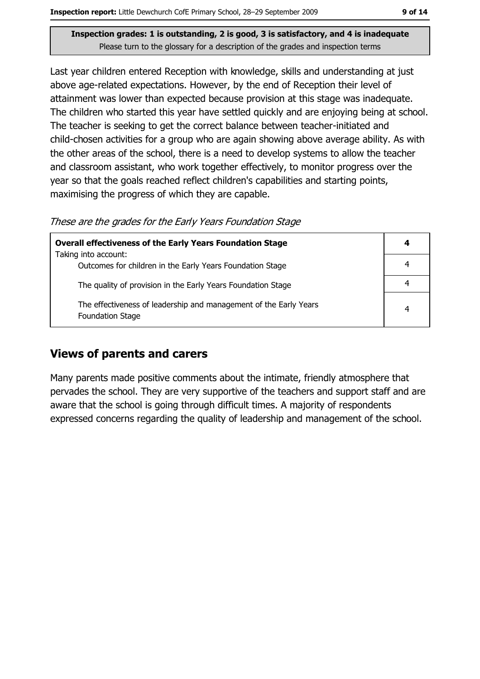Last year children entered Reception with knowledge, skills and understanding at just above age-related expectations. However, by the end of Reception their level of attainment was lower than expected because provision at this stage was inadequate. The children who started this year have settled quickly and are enjoying being at school. The teacher is seeking to get the correct balance between teacher-initiated and child-chosen activities for a group who are again showing above average ability. As with the other areas of the school, there is a need to develop systems to allow the teacher and classroom assistant, who work together effectively, to monitor progress over the year so that the goals reached reflect children's capabilities and starting points, maximising the progress of which they are capable.

These are the grades for the Early Years Foundation Stage

| <b>Overall effectiveness of the Early Years Foundation Stage</b>                             | 4 |
|----------------------------------------------------------------------------------------------|---|
| Taking into account:                                                                         |   |
| Outcomes for children in the Early Years Foundation Stage                                    |   |
| The quality of provision in the Early Years Foundation Stage                                 |   |
| The effectiveness of leadership and management of the Early Years<br><b>Foundation Stage</b> | 4 |

## **Views of parents and carers**

Many parents made positive comments about the intimate, friendly atmosphere that pervades the school. They are very supportive of the teachers and support staff and are aware that the school is going through difficult times. A majority of respondents expressed concerns regarding the quality of leadership and management of the school.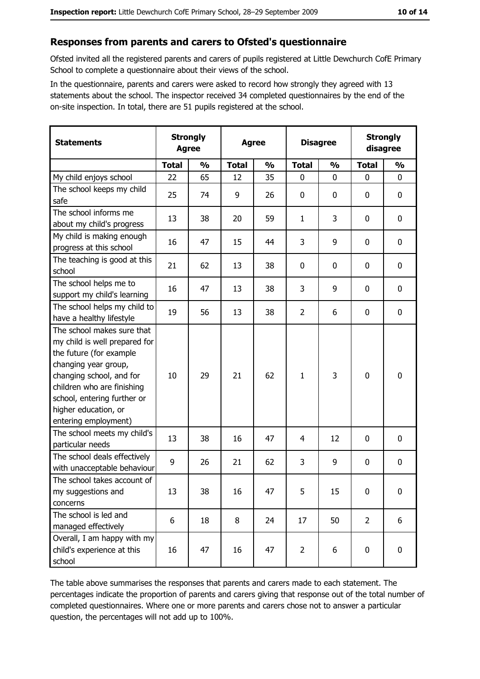#### Responses from parents and carers to Ofsted's questionnaire

Ofsted invited all the registered parents and carers of pupils registered at Little Dewchurch CofE Primary School to complete a questionnaire about their views of the school.

In the questionnaire, parents and carers were asked to record how strongly they agreed with 13 statements about the school. The inspector received 34 completed questionnaires by the end of the on-site inspection. In total, there are 51 pupils registered at the school.

| <b>Statements</b>                                                                                                                                                                                                                                       | <b>Strongly</b><br><b>Agree</b> |               | <b>Agree</b> |               |                | <b>Disagree</b> |                | <b>Strongly</b><br>disagree |  |
|---------------------------------------------------------------------------------------------------------------------------------------------------------------------------------------------------------------------------------------------------------|---------------------------------|---------------|--------------|---------------|----------------|-----------------|----------------|-----------------------------|--|
|                                                                                                                                                                                                                                                         | <b>Total</b>                    | $\frac{0}{0}$ | <b>Total</b> | $\frac{0}{0}$ | <b>Total</b>   | $\frac{0}{0}$   | <b>Total</b>   | $\frac{0}{0}$               |  |
| My child enjoys school                                                                                                                                                                                                                                  | 22                              | 65            | 12           | 35            | $\mathbf 0$    | 0               | $\mathbf 0$    | $\mathbf 0$                 |  |
| The school keeps my child<br>safe                                                                                                                                                                                                                       | 25                              | 74            | 9            | 26            | $\mathbf 0$    | 0               | 0              | 0                           |  |
| The school informs me<br>about my child's progress                                                                                                                                                                                                      | 13                              | 38            | 20           | 59            | $\mathbf{1}$   | 3               | 0              | $\mathbf 0$                 |  |
| My child is making enough<br>progress at this school                                                                                                                                                                                                    | 16                              | 47            | 15           | 44            | 3              | 9               | 0              | 0                           |  |
| The teaching is good at this<br>school                                                                                                                                                                                                                  | 21                              | 62            | 13           | 38            | 0              | 0               | 0              | 0                           |  |
| The school helps me to<br>support my child's learning                                                                                                                                                                                                   | 16                              | 47            | 13           | 38            | 3              | 9               | 0              | $\mathbf 0$                 |  |
| The school helps my child to<br>have a healthy lifestyle                                                                                                                                                                                                | 19                              | 56            | 13           | 38            | $\overline{2}$ | 6               | 0              | $\mathbf 0$                 |  |
| The school makes sure that<br>my child is well prepared for<br>the future (for example<br>changing year group,<br>changing school, and for<br>children who are finishing<br>school, entering further or<br>higher education, or<br>entering employment) | 10                              | 29            | 21           | 62            | $\mathbf{1}$   | 3               | 0              | $\mathbf 0$                 |  |
| The school meets my child's<br>particular needs                                                                                                                                                                                                         | 13                              | 38            | 16           | 47            | 4              | 12              | 0              | $\mathbf 0$                 |  |
| The school deals effectively<br>with unacceptable behaviour                                                                                                                                                                                             | 9                               | 26            | 21           | 62            | 3              | 9               | 0              | 0                           |  |
| The school takes account of<br>my suggestions and<br>concerns                                                                                                                                                                                           | 13                              | 38            | 16           | 47            | 5              | 15              | $\mathbf 0$    | 0                           |  |
| The school is led and<br>managed effectively                                                                                                                                                                                                            | 6                               | 18            | 8            | 24            | 17             | 50              | $\overline{2}$ | 6                           |  |
| Overall, I am happy with my<br>child's experience at this<br>school                                                                                                                                                                                     | 16                              | 47            | 16           | 47            | $\overline{2}$ | 6               | 0              | $\mathbf 0$                 |  |

The table above summarises the responses that parents and carers made to each statement. The percentages indicate the proportion of parents and carers giving that response out of the total number of completed questionnaires. Where one or more parents and carers chose not to answer a particular question, the percentages will not add up to 100%.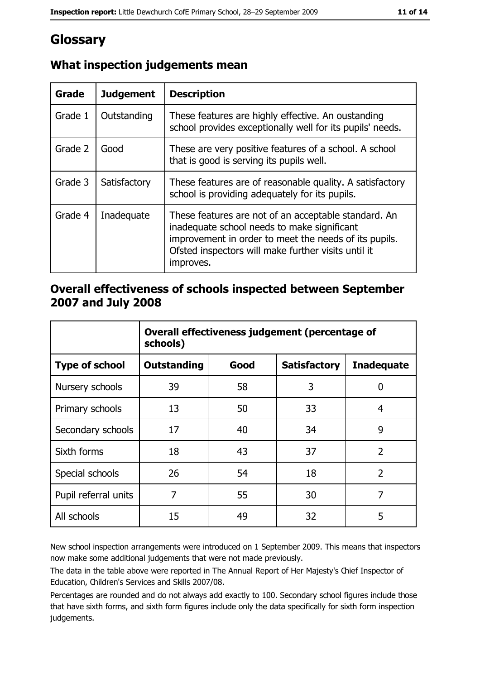# Glossary

| <b>Grade</b> | <b>Judgement</b> | <b>Description</b>                                                                                                                                                                                                               |
|--------------|------------------|----------------------------------------------------------------------------------------------------------------------------------------------------------------------------------------------------------------------------------|
| Grade 1      | Outstanding      | These features are highly effective. An oustanding<br>school provides exceptionally well for its pupils' needs.                                                                                                                  |
| Grade 2      | Good             | These are very positive features of a school. A school<br>that is good is serving its pupils well.                                                                                                                               |
| Grade 3      | Satisfactory     | These features are of reasonable quality. A satisfactory<br>school is providing adequately for its pupils.                                                                                                                       |
| Grade 4      | Inadequate       | These features are not of an acceptable standard. An<br>inadequate school needs to make significant<br>improvement in order to meet the needs of its pupils.<br>Ofsted inspectors will make further visits until it<br>improves. |

# What inspection judgements mean

## Overall effectiveness of schools inspected between September 2007 and July 2008

|                       | Overall effectiveness judgement (percentage of<br>schools) |      |                     |                   |
|-----------------------|------------------------------------------------------------|------|---------------------|-------------------|
| <b>Type of school</b> | Outstanding                                                | Good | <b>Satisfactory</b> | <b>Inadequate</b> |
| Nursery schools       | 39                                                         | 58   | 3                   | 0                 |
| Primary schools       | 13                                                         | 50   | 33                  | 4                 |
| Secondary schools     | 17                                                         | 40   | 34                  | 9                 |
| Sixth forms           | 18                                                         | 43   | 37                  | $\overline{2}$    |
| Special schools       | 26                                                         | 54   | 18                  | $\overline{2}$    |
| Pupil referral units  | 7                                                          | 55   | 30                  | 7                 |
| All schools           | 15                                                         | 49   | 32                  | 5                 |

New school inspection arrangements were introduced on 1 September 2009. This means that inspectors now make some additional judgements that were not made previously.

The data in the table above were reported in The Annual Report of Her Majesty's Chief Inspector of Education, Children's Services and Skills 2007/08.

Percentages are rounded and do not always add exactly to 100. Secondary school figures include those that have sixth forms, and sixth form figures include only the data specifically for sixth form inspection judgements.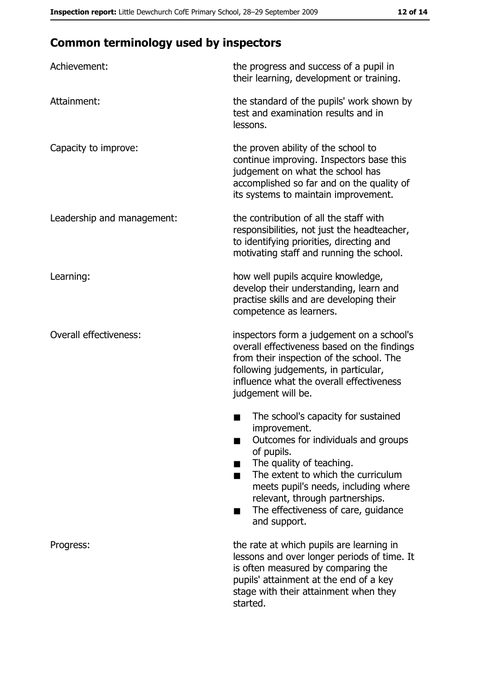# **Common terminology used by inspectors**

| Achievement:                  | the progress and success of a pupil in<br>their learning, development or training.                                                                                                                                                                                                                           |
|-------------------------------|--------------------------------------------------------------------------------------------------------------------------------------------------------------------------------------------------------------------------------------------------------------------------------------------------------------|
| Attainment:                   | the standard of the pupils' work shown by<br>test and examination results and in<br>lessons.                                                                                                                                                                                                                 |
| Capacity to improve:          | the proven ability of the school to<br>continue improving. Inspectors base this<br>judgement on what the school has<br>accomplished so far and on the quality of<br>its systems to maintain improvement.                                                                                                     |
| Leadership and management:    | the contribution of all the staff with<br>responsibilities, not just the headteacher,<br>to identifying priorities, directing and<br>motivating staff and running the school.                                                                                                                                |
| Learning:                     | how well pupils acquire knowledge,<br>develop their understanding, learn and<br>practise skills and are developing their<br>competence as learners.                                                                                                                                                          |
| <b>Overall effectiveness:</b> | inspectors form a judgement on a school's<br>overall effectiveness based on the findings<br>from their inspection of the school. The<br>following judgements, in particular,<br>influence what the overall effectiveness<br>judgement will be.                                                               |
|                               | The school's capacity for sustained<br>improvement.<br>Outcomes for individuals and groups<br>of pupils.<br>The quality of teaching.<br>The extent to which the curriculum<br>meets pupil's needs, including where<br>relevant, through partnerships.<br>The effectiveness of care, guidance<br>and support. |
| Progress:                     | the rate at which pupils are learning in<br>lessons and over longer periods of time. It<br>is often measured by comparing the<br>pupils' attainment at the end of a key<br>stage with their attainment when they<br>started.                                                                                 |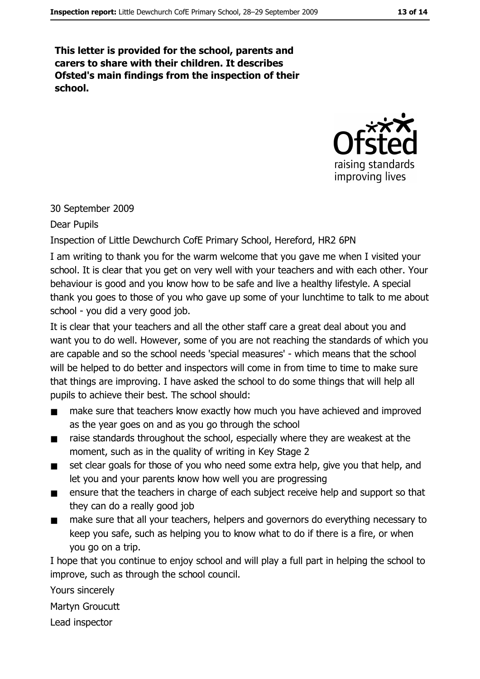This letter is provided for the school, parents and carers to share with their children. It describes Ofsted's main findings from the inspection of their school.



#### 30 September 2009

Dear Pupils

Inspection of Little Dewchurch CofE Primary School, Hereford, HR2 6PN

I am writing to thank you for the warm welcome that you gave me when I visited your school. It is clear that you get on very well with your teachers and with each other. Your behaviour is good and you know how to be safe and live a healthy lifestyle. A special thank you goes to those of you who gave up some of your lunchtime to talk to me about school - you did a very good job.

It is clear that your teachers and all the other staff care a great deal about you and want you to do well. However, some of you are not reaching the standards of which you are capable and so the school needs 'special measures' - which means that the school will be helped to do better and inspectors will come in from time to time to make sure that things are improving. I have asked the school to do some things that will help all pupils to achieve their best. The school should:

- make sure that teachers know exactly how much you have achieved and improved  $\blacksquare$ as the year goes on and as you go through the school
- raise standards throughout the school, especially where they are weakest at the  $\blacksquare$ moment, such as in the quality of writing in Key Stage 2
- set clear goals for those of you who need some extra help, give you that help, and  $\blacksquare$ let you and your parents know how well you are progressing
- ensure that the teachers in charge of each subject receive help and support so that  $\blacksquare$ they can do a really good job
- make sure that all your teachers, helpers and governors do everything necessary to  $\blacksquare$ keep you safe, such as helping you to know what to do if there is a fire, or when vou go on a trip.

I hope that you continue to enjoy school and will play a full part in helping the school to improve, such as through the school council.

Yours sincerely

Martyn Groucutt

Lead inspector